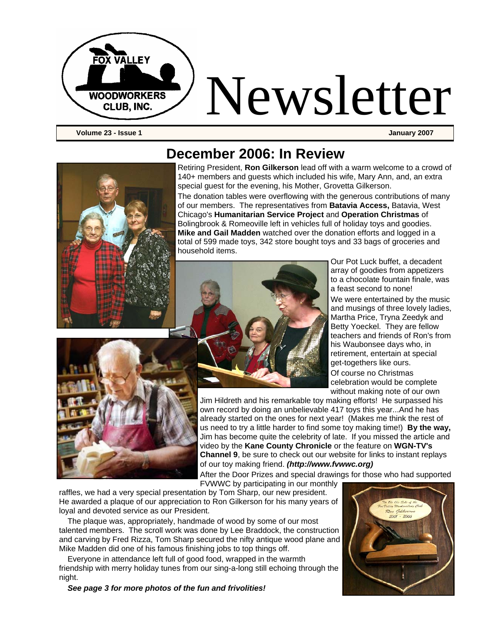

**Volume 23 - Issue 1 January 2007** 



#### **December 2006: In Review**

Retiring President, **Ron Gilkerson** lead off with a warm welcome to a crowd of 140+ members and guests which included his wife, Mary Ann, and, an extra special guest for the evening, his Mother, Grovetta Gilkerson.

The donation tables were overflowing with the generous contributions of many of our members. The representatives from **Batavia Access,** Batavia, West Chicago's **Humanitarian Service Project** and **Operation Christmas** of Bolingbrook & Romeoville left in vehicles full of holiday toys and goodies. **Mike and Gail Madden** watched over the donation efforts and logged in a total of 599 made toys, 342 store bought toys and 33 bags of groceries and household items.



Our Pot Luck buffet, a decadent array of goodies from appetizers to a chocolate fountain finale, was a feast second to none! We were entertained by the music and musings of three lovely ladies, Martha Price, Tryna Zeedyk and Betty Yoeckel. They are fellow teachers and friends of Ron's from his Waubonsee days who, in retirement, entertain at special get-togethers like ours. Of course no Christmas celebration would be complete without making note of our own



Jim Hildreth and his remarkable toy making efforts! He surpassed his own record by doing an unbelievable 417 toys this year...And he has already started on the ones for next year! (Makes me think the rest of us need to try a little harder to find some toy making time!) **By the way,**  Jim has become quite the celebrity of late. If you missed the article and video by the **Kane County Chronicle** or the feature on **WGN-TV's Channel 9**, be sure to check out our website for links to instant replays of our toy making friend. *(http://www.fvwwc.org)*

After the Door Prizes and special drawings for those who had supported

FVWWC by participating in our monthly

raffles, we had a very special presentation by Tom Sharp, our new president. He awarded a plaque of our appreciation to Ron Gilkerson for his many years of loyal and devoted service as our President.

The plaque was, appropriately, handmade of wood by some of our most talented members. The scroll work was done by Lee Braddock, the construction and carving by Fred Rizza, Tom Sharp secured the nifty antique wood plane and Mike Madden did one of his famous finishing jobs to top things off.

Everyone in attendance left full of good food, wrapped in the warmth friendship with merry holiday tunes from our sing-a-long still echoing through the night.

*See page 3 for more photos of the fun and frivolities!* 

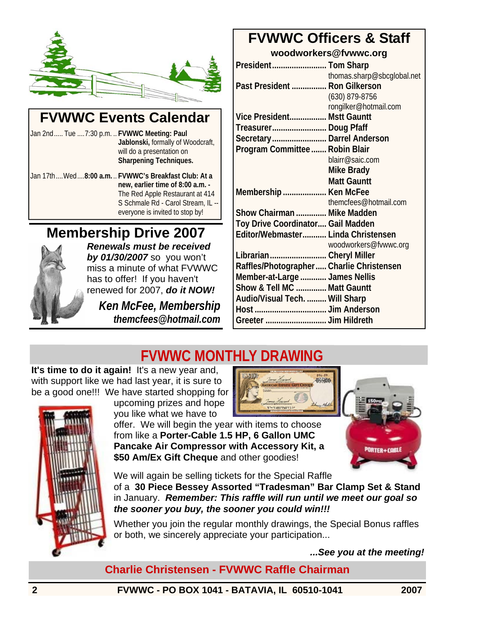

#### **FVWWC Events Calendar**

Jan 2nd..... Tue ....7:30 p.m. .. **FVWWC Meeting: Paul Jablonski,** formally of Woodcraft, will do a presentation on **Sharpening Techniques.** 

Jan 17th....Wed....**8:00 a.m.** .. **FVWWC's Breakfast Club: At a new, earlier time of 8:00 a.m. -**  The Red Apple Restaurant at 414 S Schmale Rd - Carol Stream, IL - everyone is invited to stop by!

#### **Membership Drive 2007**



*Renewals must be received by 01/30/2007* so you won't miss a minute of what FVWWC has to offer! If you haven't renewed for 2007, *do it NOW!* 

*Ken McFee, Membership themcfees@hotmail.com*

#### **FVWWC Officers & Staff**

**woodworkers@fvwwc.org** 

| President Tom Sharp                       |                            |
|-------------------------------------------|----------------------------|
|                                           | thomas.sharp@sbcqlobal.net |
| Past President  Ron Gilkerson             |                            |
|                                           | (630) 879-8756             |
|                                           | rongilker@hotmail.com      |
| Vice President Mstt Gauntt                |                            |
| Treasurer Doug Pfaff                      |                            |
| Secretary Darrel Anderson                 |                            |
| Program Committee  Robin Blair            |                            |
|                                           | blairr@saic.com            |
|                                           | Mike Brady                 |
|                                           | <b>Matt Gauntt</b>         |
| Membership  Ken McFee                     |                            |
|                                           | themcfees@hotmail.com      |
| Show Chairman  Mike Madden                |                            |
| Toy Drive Coordinator Gail Madden         |                            |
| Editor/Webmaster Linda Christensen        |                            |
|                                           | woodworkers@fvwwc.org      |
| Librarian Cheryl Miller                   |                            |
| Raffles/Photographer  Charlie Christensen |                            |
| Member-at-Large  James Nellis             |                            |
| Show & Tell MC  Matt Gauntt               |                            |
| Audio/Visual Tech.  Will Sharp            |                            |
|                                           |                            |
| Greeter  Jim Hildreth                     |                            |
|                                           |                            |

HOCHO

### **FVWWC MONTHLY DRAWING**

**It's time to do it again!** It's a new year and, with support like we had last year, it is sure to be a good one!!! We have started shopping for



upcoming prizes and hope you like what we have to

offer. We will begin the year with items to choose from like a **Porter-Cable 1.5 HP, 6 Gallon UMC Pancake Air Compressor with Accessory Kit, a \$50 Am/Ex Gift Cheque** and other goodies!

<sup>N</sup>orter+cabli

We will again be selling tickets for the Special Raffle

of a **30 Piece Bessey Assorted "Tradesman" Bar Clamp Set & Stand** in January. *Remember: This raffle will run until we meet our goal so the sooner you buy, the sooner you could win!!!* 

Whether you join the regular monthly drawings, the Special Bonus raffles or both, we sincerely appreciate your participation...

*...See you at the meeting!* 

**Charlie Christensen - FVWWC Raffle Chairman**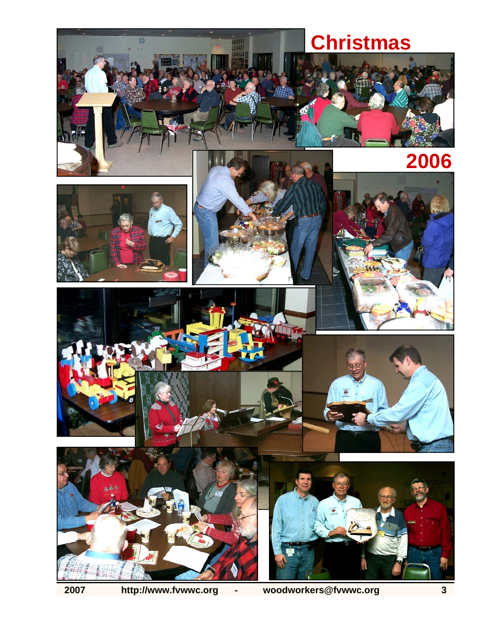